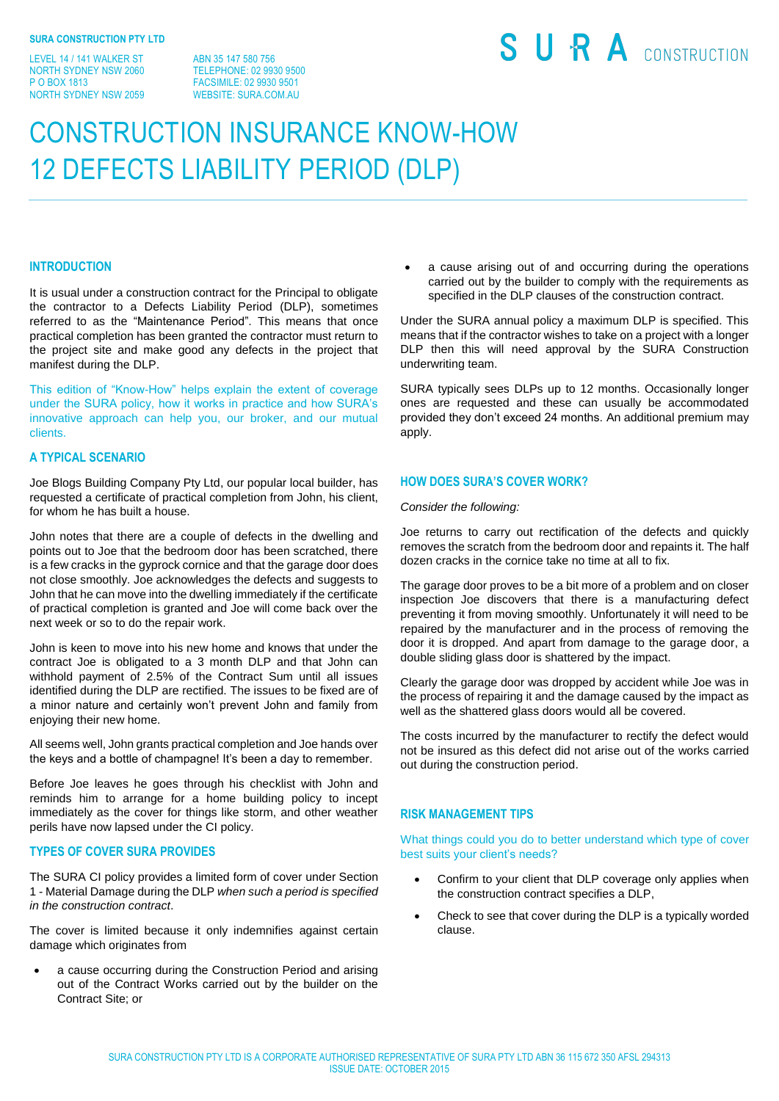LEVEL 14 / 141 WALKER ST NORTH SYDNEY NSW 2060 P O BOX 1813 NORTH SYDNEY NSW 2059

ABN 35 147 580 756 TELEPHONE: 02 9930 9500 FACSIMILE: 02 9930 9501 WEBSITE: SURA COM AU

# SURA CONSTRUCTION

# CONSTRUCTION INSURANCE KNOW-HOW 12 DEFECTS LIABILITY PERIOD (DLP)

#### **INTRODUCTION**

It is usual under a construction contract for the Principal to obligate the contractor to a Defects Liability Period (DLP), sometimes referred to as the "Maintenance Period". This means that once practical completion has been granted the contractor must return to the project site and make good any defects in the project that manifest during the DLP.

This edition of "Know-How" helps explain the extent of coverage under the SURA policy, how it works in practice and how SURA's innovative approach can help you, our broker, and our mutual clients.

#### **A TYPICAL SCENARIO**

Joe Blogs Building Company Pty Ltd, our popular local builder, has requested a certificate of practical completion from John, his client, for whom he has built a house.

John notes that there are a couple of defects in the dwelling and points out to Joe that the bedroom door has been scratched, there is a few cracks in the gyprock cornice and that the garage door does not close smoothly. Joe acknowledges the defects and suggests to John that he can move into the dwelling immediately if the certificate of practical completion is granted and Joe will come back over the next week or so to do the repair work.

John is keen to move into his new home and knows that under the contract Joe is obligated to a 3 month DLP and that John can withhold payment of 2.5% of the Contract Sum until all issues identified during the DLP are rectified. The issues to be fixed are of a minor nature and certainly won't prevent John and family from enjoying their new home.

All seems well, John grants practical completion and Joe hands over the keys and a bottle of champagne! It's been a day to remember.

Before Joe leaves he goes through his checklist with John and reminds him to arrange for a home building policy to incept immediately as the cover for things like storm, and other weather perils have now lapsed under the CI policy.

# **TYPES OF COVER SURA PROVIDES**

The SURA CI policy provides a limited form of cover under Section 1 - Material Damage during the DLP *when such a period is specified in the construction contract*.

The cover is limited because it only indemnifies against certain damage which originates from

 a cause occurring during the Construction Period and arising out of the Contract Works carried out by the builder on the Contract Site; or

 a cause arising out of and occurring during the operations carried out by the builder to comply with the requirements as specified in the DLP clauses of the construction contract.

Under the SURA annual policy a maximum DLP is specified. This means that if the contractor wishes to take on a project with a longer DLP then this will need approval by the SURA Construction underwriting team.

SURA typically sees DLPs up to 12 months. Occasionally longer ones are requested and these can usually be accommodated provided they don't exceed 24 months. An additional premium may apply.

# **HOW DOES SURA'S COVER WORK?**

#### *Consider the following:*

Joe returns to carry out rectification of the defects and quickly removes the scratch from the bedroom door and repaints it. The half dozen cracks in the cornice take no time at all to fix.

The garage door proves to be a bit more of a problem and on closer inspection Joe discovers that there is a manufacturing defect preventing it from moving smoothly. Unfortunately it will need to be repaired by the manufacturer and in the process of removing the door it is dropped. And apart from damage to the garage door, a double sliding glass door is shattered by the impact.

Clearly the garage door was dropped by accident while Joe was in the process of repairing it and the damage caused by the impact as well as the shattered glass doors would all be covered.

The costs incurred by the manufacturer to rectify the defect would not be insured as this defect did not arise out of the works carried out during the construction period.

# **RISK MANAGEMENT TIPS**

What things could you do to better understand which type of cover best suits your client's needs?

- Confirm to your client that DLP coverage only applies when the construction contract specifies a DLP,
- Check to see that cover during the DLP is a typically worded clause.